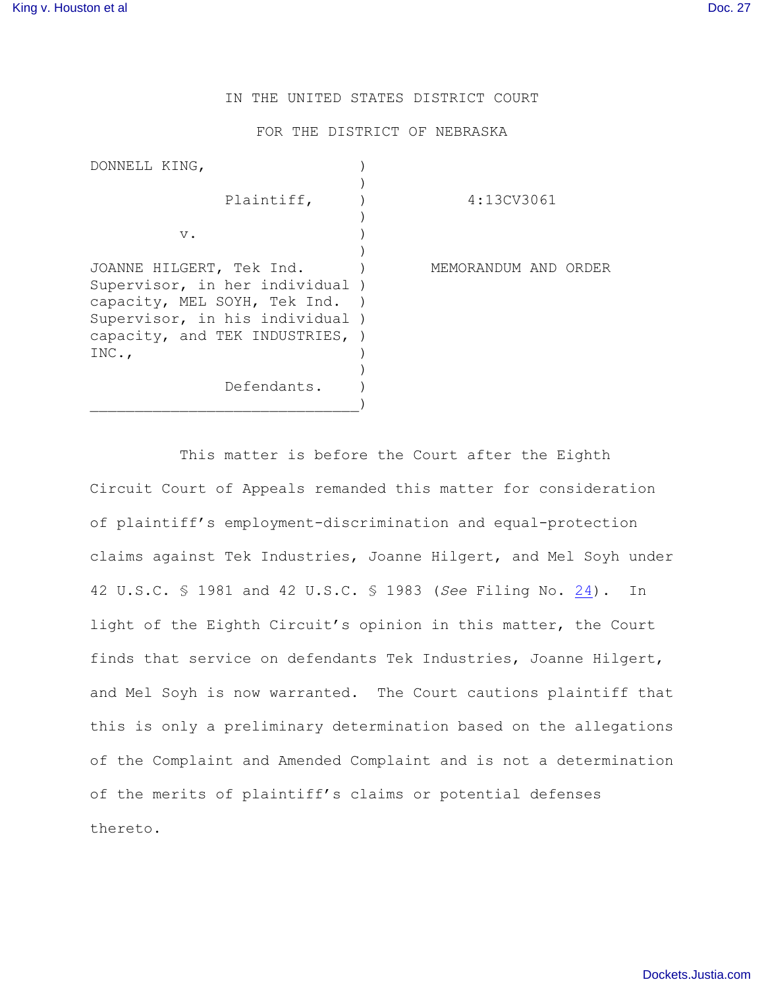## IN THE UNITED STATES DISTRICT COURT

## FOR THE DISTRICT OF NEBRASKA

| DONNELL KING,                   |                      |
|---------------------------------|----------------------|
|                                 |                      |
| Plaintiff,                      | 4:13CV3061           |
|                                 |                      |
| $V$ .                           |                      |
|                                 |                      |
| JOANNE HILGERT, Tek Ind.        | MEMORANDUM AND ORDER |
| Supervisor, in her individual ) |                      |
| capacity, MEL SOYH, Tek Ind.    |                      |
| Supervisor, in his individual ) |                      |
| capacity, and TEK INDUSTRIES, ) |                      |
| INC.,                           |                      |
|                                 |                      |
| Defendants.                     |                      |
|                                 |                      |

This matter is before the Court after the Eighth Circuit Court of Appeals remanded this matter for consideration of plaintiff's employment-discrimination and equal-protection claims against Tek Industries, Joanne Hilgert, and Mel Soyh under 42 U.S.C. § 1981 and 42 U.S.C. § 1983 (*See* Filing No. [24](http://ecf.ned.uscourts.gov/doc1/11313024269)). In light of the Eighth Circuit's opinion in this matter, the Court finds that service on defendants Tek Industries, Joanne Hilgert, and Mel Soyh is now warranted. The Court cautions plaintiff that this is only a preliminary determination based on the allegations of the Complaint and Amended Complaint and is not a determination of the merits of plaintiff's claims or potential defenses thereto.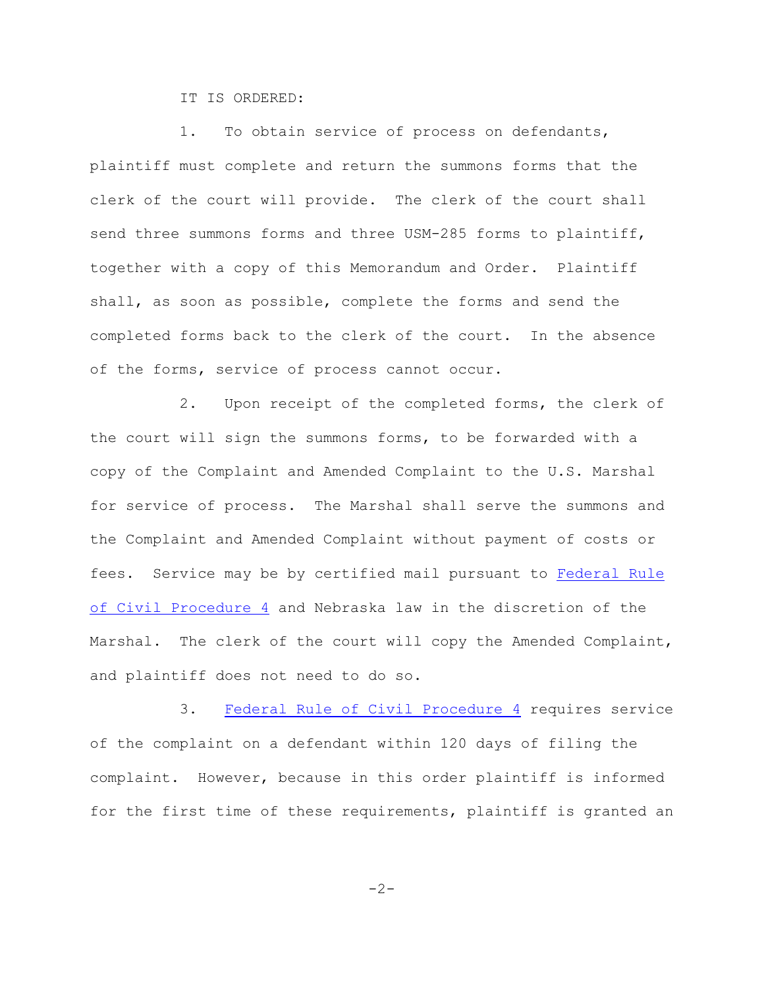IT IS ORDERED:

1. To obtain service of process on defendants, plaintiff must complete and return the summons forms that the clerk of the court will provide. The clerk of the court shall send three summons forms and three USM-285 forms to plaintiff, together with a copy of this Memorandum and Order. Plaintiff shall, as soon as possible, complete the forms and send the completed forms back to the clerk of the court. In the absence of the forms, service of process cannot occur.

2. Upon receipt of the completed forms, the clerk of the court will sign the summons forms, to be forwarded with a copy of the Complaint and Amended Complaint to the U.S. Marshal for service of process. The Marshal shall serve the summons and the Complaint and Amended Complaint without payment of costs or fees. Service may be by certified mail pursuant to [Federal Rule](http://web2.westlaw.com/find/default.wl?rs=CLWP3.0&vr=2.0&cite=FRCP+P.+4&ssl=n) [of Civil Procedure 4](http://web2.westlaw.com/find/default.wl?rs=CLWP3.0&vr=2.0&cite=FRCP+P.+4&ssl=n) and Nebraska law in the discretion of the Marshal. The clerk of the court will copy the Amended Complaint, and plaintiff does not need to do so.

3. [Federal Rule of Civil Procedure 4](http://web2.westlaw.com/find/default.wl?rs=CLWP3.0&vr=2.0&cite=FRCP+P.+4&ssl=n) requires service of the complaint on a defendant within 120 days of filing the complaint. However, because in this order plaintiff is informed for the first time of these requirements, plaintiff is granted an

$$
-2-
$$